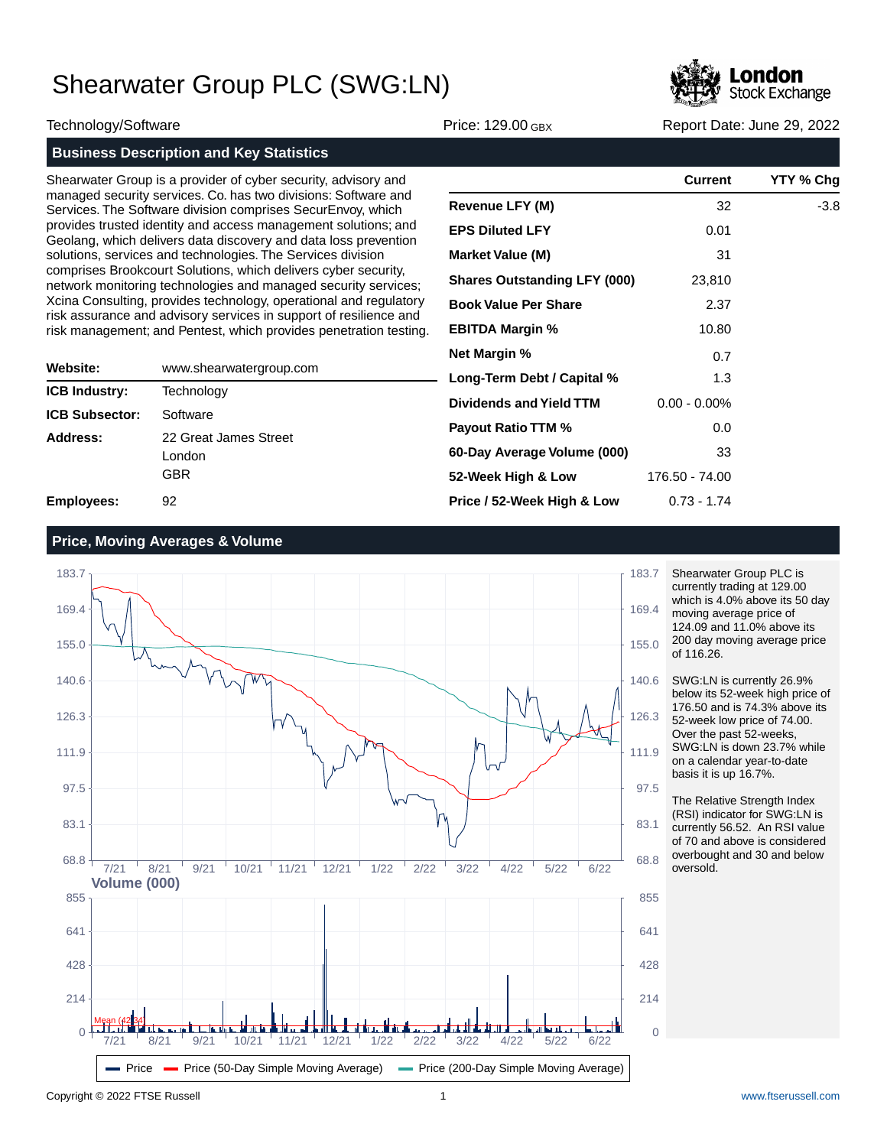

Technology/Software Price: 129.00 GBX Report Date: June 29, 2022

| <b>Business Description and Key Statistics</b> |  |
|------------------------------------------------|--|

Shearwater Group is a provider of cyber security, advisory and managed security services. Co. has two divisions: Software and Services. The Software division comprises SecurEnvoy, which provides trusted identity and access management solutions; and Geolang, which delivers data discovery and data loss prevention solutions, services and technologies. The Services division comprises Brookcourt Solutions, which delivers cyber security, network monitoring technologies and managed security services; Xcina Consulting, provides technology, operational and regulatory risk assurance and advisory services in support of resilience and risk management; and Pentest, which provides penetration testing.

|                       |                         | <b>ITCL ITIGLY</b> |
|-----------------------|-------------------------|--------------------|
| Website:              | www.shearwatergroup.com | Long-Ter           |
| <b>ICB Industry:</b>  | Technology              |                    |
| <b>ICB Subsector:</b> | Software                | <b>Dividend</b>    |
| Address:              | 22 Great James Street   | <b>Payout R</b>    |
|                       | London                  | 60-Day A           |
|                       | <b>GBR</b>              | 52-Week            |
| <b>Employees:</b>     | 92                      | Price / 52         |

|                                     | <b>Current</b>  | YTY % Chg |
|-------------------------------------|-----------------|-----------|
| <b>Revenue LFY (M)</b>              | 32              | -3.8      |
| <b>EPS Diluted LFY</b>              | 0.01            |           |
| <b>Market Value (M)</b>             | 31              |           |
| <b>Shares Outstanding LFY (000)</b> | 23,810          |           |
| <b>Book Value Per Share</b>         | 2.37            |           |
| <b>EBITDA Margin %</b>              | 10.80           |           |
| <b>Net Margin %</b>                 | 0.7             |           |
| Long-Term Debt / Capital %          | 1.3             |           |
| Dividends and Yield TTM             | $0.00 - 0.00\%$ |           |
| <b>Payout Ratio TTM %</b>           | 0.0             |           |
| 60-Day Average Volume (000)         | 33              |           |
| 52-Week High & Low                  | 176.50 - 74.00  |           |
| Price / 52-Week High & Low          | $0.73 - 1.74$   |           |

### **Price, Moving Averages & Volume**



Shearwater Group PLC is currently trading at 129.00 which is 4.0% above its 50 day moving average price of 124.09 and 11.0% above its 200 day moving average price of 116.26.

SWG:LN is currently 26.9% below its 52-week high price of 176.50 and is 74.3% above its 52-week low price of 74.00. Over the past 52-weeks, SWG:LN is down 23.7% while on a calendar year-to-date basis it is up 16.7%.

The Relative Strength Index (RSI) indicator for SWG:LN is currently 56.52. An RSI value of 70 and above is considered overbought and 30 and below oversold.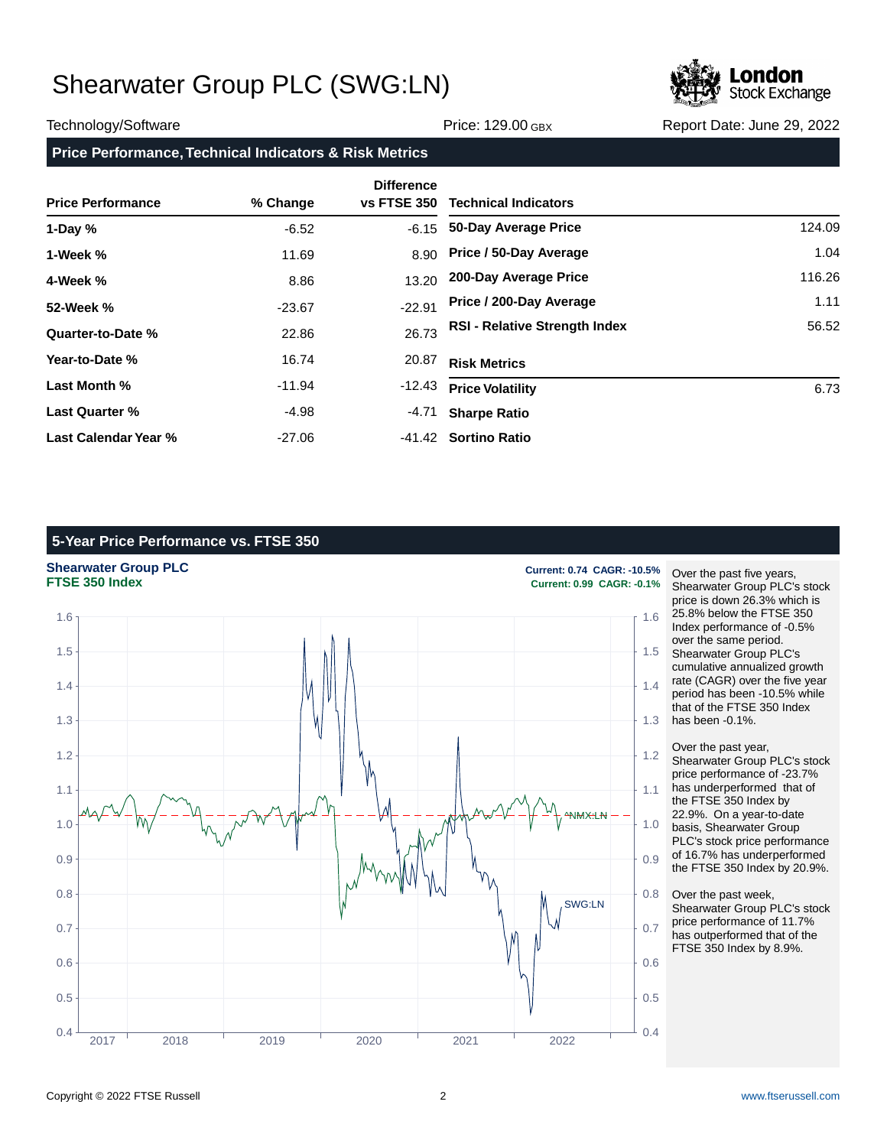

### Technology/Software **Price: 129.00 GBX** Report Date: June 29, 2022

## **Price Performance, Technical Indicators & Risk Metrics**

|                          |          | <b>Difference</b> |                                      |        |
|--------------------------|----------|-------------------|--------------------------------------|--------|
| <b>Price Performance</b> | % Change | vs FTSE 350       | <b>Technical Indicators</b>          |        |
| 1-Day $%$                | $-6.52$  | $-6.15$           | 50-Day Average Price                 | 124.09 |
| 1-Week %                 | 11.69    | 8.90              | Price / 50-Day Average               | 1.04   |
| 4-Week %                 | 8.86     | 13.20             | 200-Day Average Price                | 116.26 |
| 52-Week %                | $-23.67$ | $-22.91$          | Price / 200-Day Average              | 1.11   |
| Quarter-to-Date %        | 22.86    | 26.73             | <b>RSI - Relative Strength Index</b> | 56.52  |
| Year-to-Date %           | 16.74    | 20.87             | <b>Risk Metrics</b>                  |        |
| Last Month %             | $-11.94$ | -12.43            | <b>Price Volatility</b>              | 6.73   |
| <b>Last Quarter %</b>    | $-4.98$  | -4.71             | <b>Sharpe Ratio</b>                  |        |
| Last Calendar Year %     | $-27.06$ |                   | -41.42 Sortino Ratio                 |        |

## **5-Year Price Performance vs. FTSE 350**

**Shearwater Group PLC**<br> **FTSE 350 Index**<br> **Current: 0.99 CAGR: -0.1%**<br>
Current: 0.99 CAGR: -0.1%



**FTSE 350 Index Current: 0.99 CAGR: -0.1%**

Over the past five years, Shearwater Group PLC's stock price is down 26.3% which is 25.8% below the FTSE 350 Index performance of -0.5% over the same period. Shearwater Group PLC's cumulative annualized growth rate (CAGR) over the five year period has been -10.5% while that of the FTSE 350 Index has been -0.1%.

Over the past year, Shearwater Group PLC's stock price performance of -23.7% has underperformed that of the FTSE 350 Index by 22.9%. On a year-to-date basis, Shearwater Group PLC's stock price performance of 16.7% has underperformed the FTSE 350 Index by 20.9%.

Over the past week, Shearwater Group PLC's stock price performance of 11.7% has outperformed that of the FTSE 350 Index by 8.9%.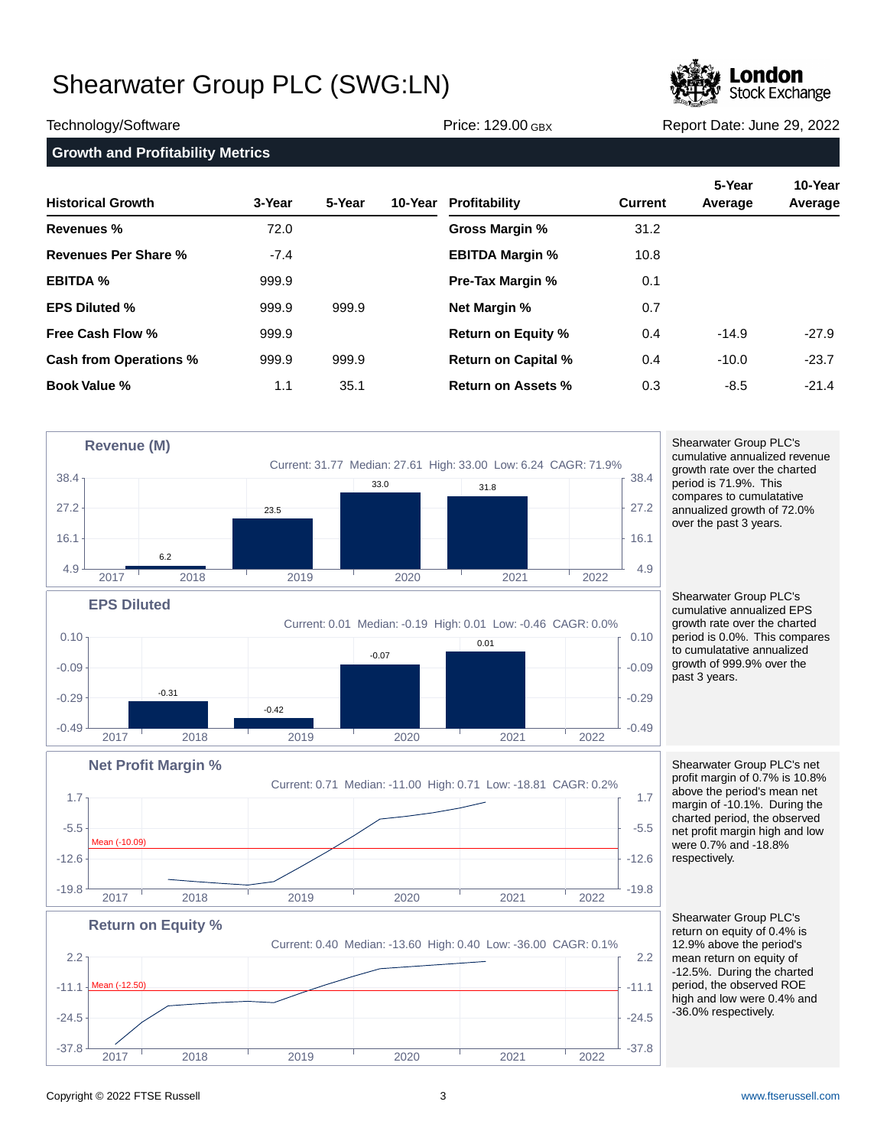

Technology/Software **Price: 129.00 GBX** Report Date: June 29, 2022

```
Growth and Profitability Metrics
```

| <b>Historical Growth</b>      | 3-Year | 5-Year | 10-Year | Profitability              | <b>Current</b> | 5-Year<br>Average | 10-Year<br>Average |
|-------------------------------|--------|--------|---------|----------------------------|----------------|-------------------|--------------------|
| Revenues %                    | 72.0   |        |         | Gross Margin %             | 31.2           |                   |                    |
| Revenues Per Share %          | $-7.4$ |        |         | <b>EBITDA Margin %</b>     | 10.8           |                   |                    |
| <b>EBITDA %</b>               | 999.9  |        |         | <b>Pre-Tax Margin %</b>    | 0.1            |                   |                    |
| <b>EPS Diluted %</b>          | 999.9  | 999.9  |         | <b>Net Margin %</b>        | 0.7            |                   |                    |
| <b>Free Cash Flow %</b>       | 999.9  |        |         | <b>Return on Equity %</b>  | 0.4            | $-14.9$           | $-27.9$            |
| <b>Cash from Operations %</b> | 999.9  | 999.9  |         | <b>Return on Capital %</b> | 0.4            | $-10.0$           | $-23.7$            |
| <b>Book Value %</b>           | 1.1    | 35.1   |         | <b>Return on Assets %</b>  | 0.3            | $-8.5$            | $-21.4$            |



 $-37.8$   $-37.8$   $-37.8$   $-37.8$ 

2017 2018 2019 2020 2021 2022

Shearwater Group PLC's cumulative annualized revenue growth rate over the charted period is 71.9%. This compares to cumulatative annualized growth of 72.0% over the past 3 years.

Shearwater Group PLC's cumulative annualized EPS growth rate over the charted period is 0.0%. This compares to cumulatative annualized growth of 999.9% over the past 3 years.

Shearwater Group PLC's net profit margin of 0.7% is 10.8% above the period's mean net margin of -10.1%. During the charted period, the observed net profit margin high and low were 0.7% and -18.8% respectively.

Shearwater Group PLC's return on equity of 0.4% is 12.9% above the period's mean return on equity of -12.5%. During the charted period, the observed ROE high and low were 0.4% and -36.0% respectively.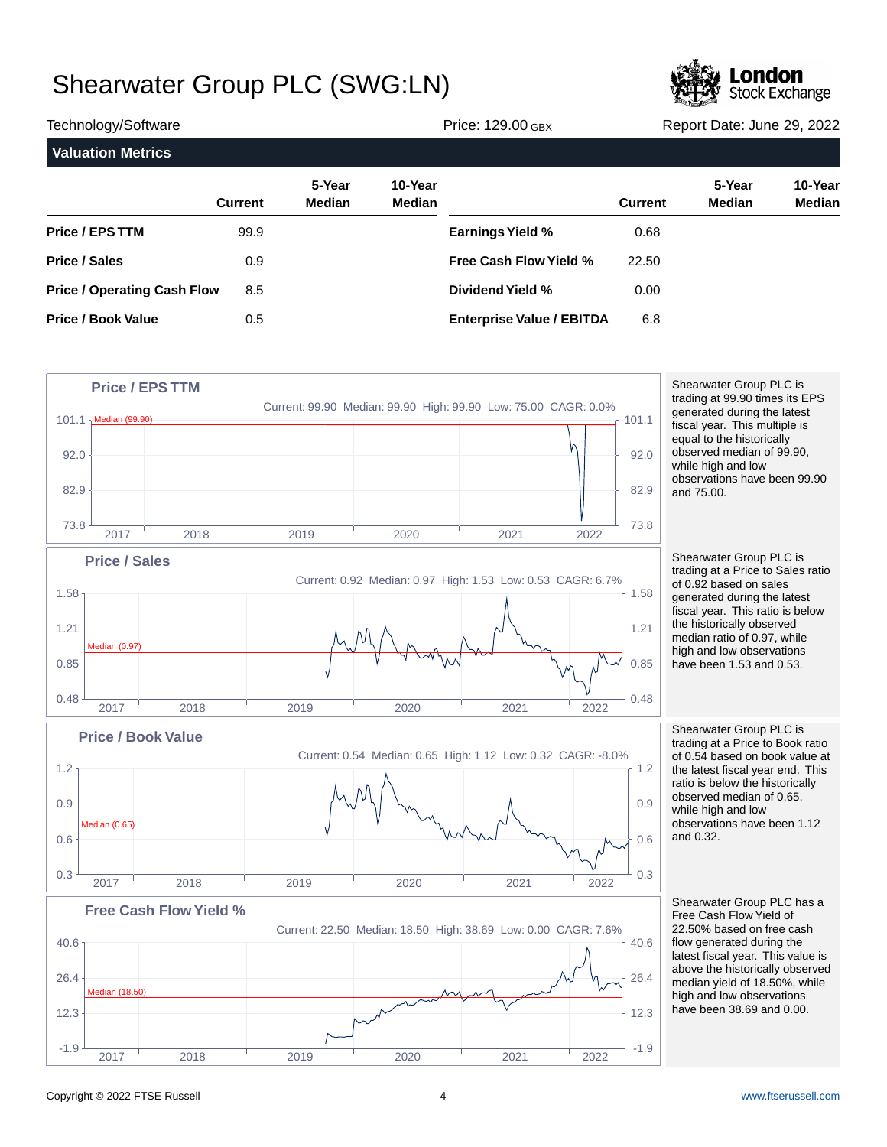

| Technology/Software                |                | Price: 129.00 GBX       |                          |                                  | Report Date: June 29, 2022 |                         |                   |
|------------------------------------|----------------|-------------------------|--------------------------|----------------------------------|----------------------------|-------------------------|-------------------|
| <b>Valuation Metrics</b>           |                |                         |                          |                                  |                            |                         |                   |
|                                    | <b>Current</b> | 5-Year<br><b>Median</b> | 10-Year<br><b>Median</b> |                                  | <b>Current</b>             | 5-Year<br><b>Median</b> | 10-Year<br>Median |
| <b>Price / EPS TTM</b>             | 99.9           |                         |                          | <b>Earnings Yield %</b>          | 0.68                       |                         |                   |
| <b>Price / Sales</b>               | 0.9            |                         |                          | Free Cash Flow Yield %           | 22.50                      |                         |                   |
| <b>Price / Operating Cash Flow</b> | 8.5            |                         |                          | Dividend Yield %                 | 0.00                       |                         |                   |
| <b>Price / Book Value</b>          | 0.5            |                         |                          | <b>Enterprise Value / EBITDA</b> | 6.8                        |                         |                   |



Shearwater Group PLC is trading at 99.90 times its EPS generated during the latest fiscal year. This multiple is equal to the historically observed median of 99.90, while high and low observations have been 99.90 and 75.00.

Shearwater Group PLC is trading at a Price to Sales ratio of 0.92 based on sales generated during the latest fiscal year. This ratio is below the historically observed median ratio of 0.97, while high and low observations have been 1.53 and 0.53.

Shearwater Group PLC is trading at a Price to Book ratio of 0.54 based on book value at the latest fiscal year end. This ratio is below the historically observed median of 0.65, while high and low observations have been 1.12 and 0.32.

Shearwater Group PLC has a Free Cash Flow Yield of 22.50% based on free cash flow generated during the latest fiscal year. This value is above the historically observed median yield of 18.50%, while high and low observations have been 38.69 and 0.00.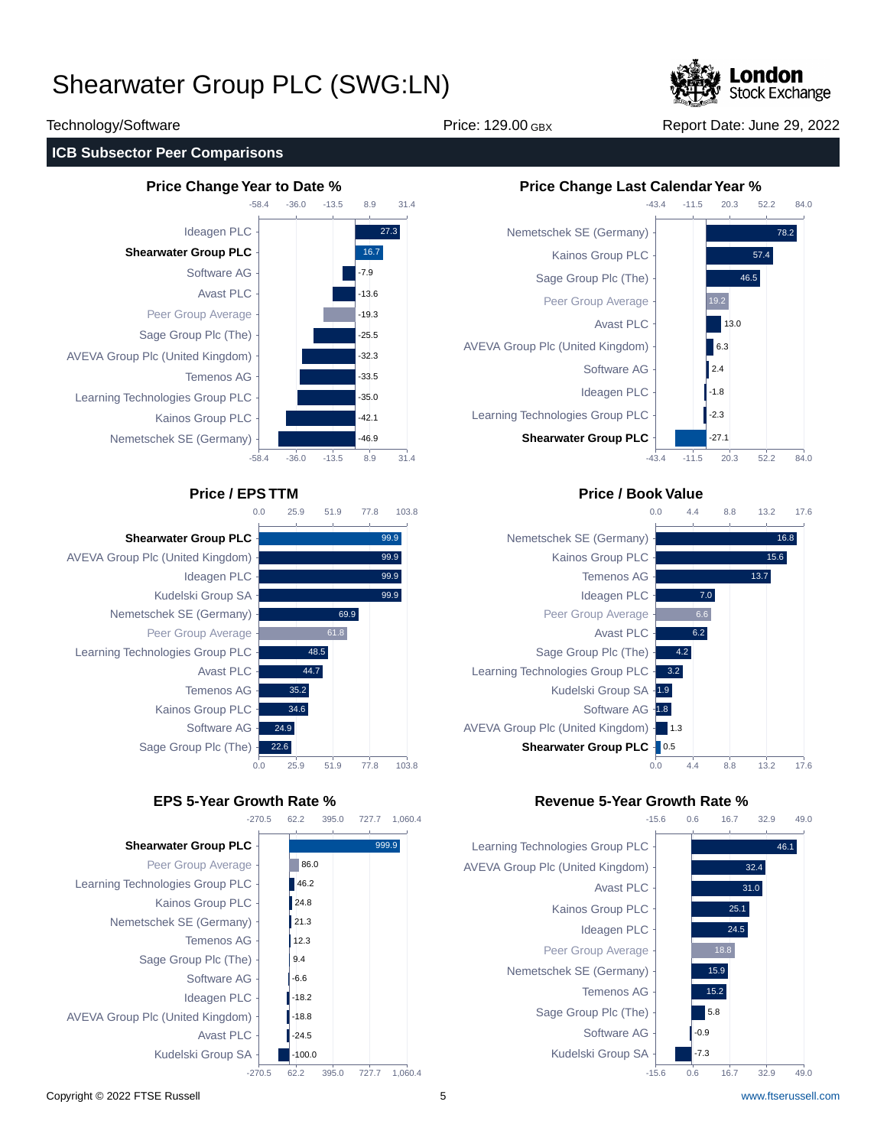

Technology/Software Price: 129.00 GBX Report Date: June 29, 2022

## **ICB Subsector Peer Comparisons**









## **Price / EPS TTM Price / Book Value**



## **EPS 5-Year Growth Rate % Revenue 5-Year Growth Rate %**



49.0

49.0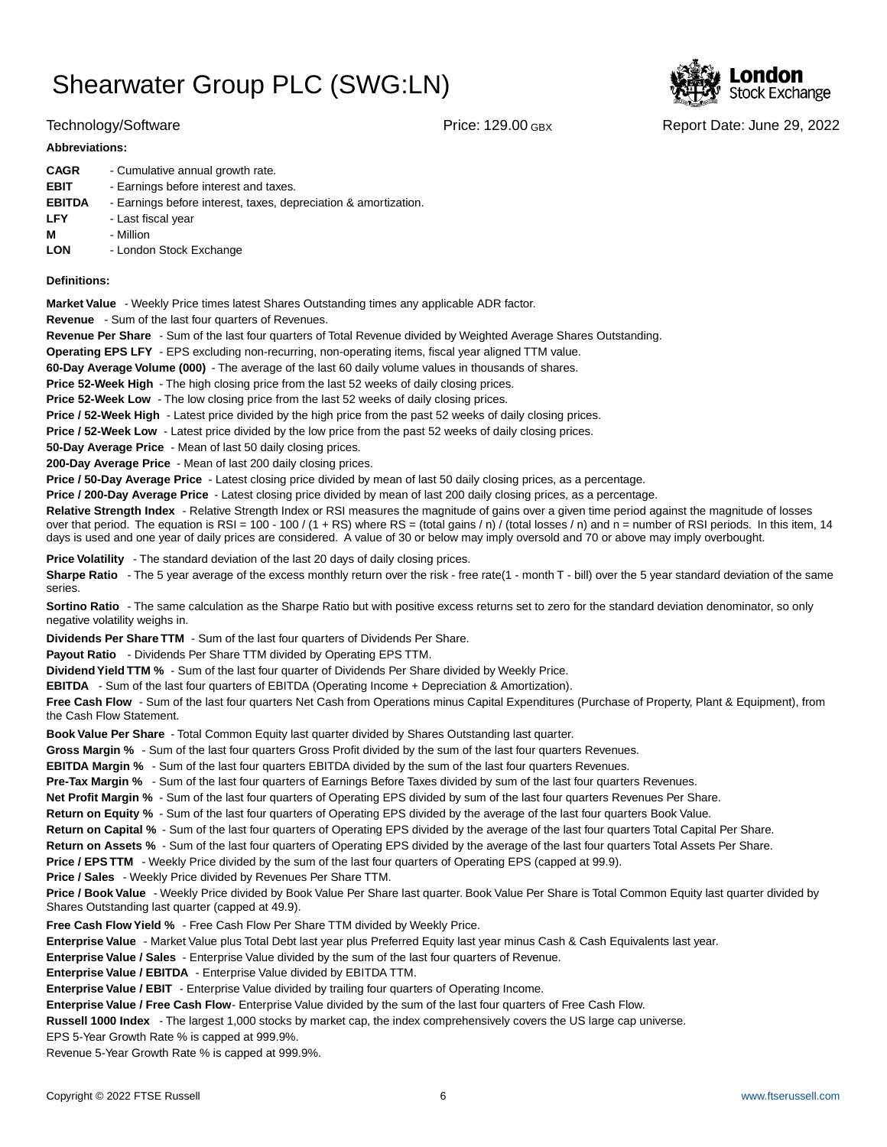

### **Abbreviations:**

| <b>CAGR</b>   | - Cumulative annual growth rate.                                |
|---------------|-----------------------------------------------------------------|
| <b>EBIT</b>   | - Earnings before interest and taxes.                           |
| <b>EBITDA</b> | - Earnings before interest, taxes, depreciation & amortization. |
| <b>LFY</b>    | - Last fiscal year                                              |
| м             | - Million                                                       |
| <b>LON</b>    | - London Stock Exchange                                         |
|               |                                                                 |

### **Definitions:**

**Market Value** - Weekly Price times latest Shares Outstanding times any applicable ADR factor.

**Revenue** - Sum of the last four quarters of Revenues.

**Revenue Per Share** - Sum of the last four quarters of Total Revenue divided by Weighted Average Shares Outstanding.

**Operating EPS LFY** - EPS excluding non-recurring, non-operating items, fiscal year aligned TTM value.

60-Day Average Volume (000) - The average of the last 60 daily volume values in thousands of shares.

**Price 52-Week High** - The high closing price from the last 52 weeks of daily closing prices.

**Price 52-Week Low** - The low closing price from the last 52 weeks of daily closing prices.

**Price / 52-Week High** - Latest price divided by the high price from the past 52 weeks of daily closing prices.

**Price / 52-Week Low** - Latest price divided by the low price from the past 52 weeks of daily closing prices.

**50-Day Average Price** - Mean of last 50 daily closing prices.

**200-Day Average Price** - Mean of last 200 daily closing prices.

Price / 50-Day Average Price - Latest closing price divided by mean of last 50 daily closing prices, as a percentage.

**Price / 200-Day Average Price** - Latest closing price divided by mean of last 200 daily closing prices, as a percentage.

Relative Strength Index - Relative Strength Index or RSI measures the magnitude of gains over a given time period against the magnitude of losses over that period. The equation is RSI = 100 - 100 / (1 + RS) where RS = (total gains / n) / (total losses / n) and n = number of RSI periods. In this item, 14 days is used and one year of daily prices are considered. A value of 30 or below may imply oversold and 70 or above may imply overbought.

**Price Volatility** - The standard deviation of the last 20 days of daily closing prices.

Sharpe Ratio - The 5 year average of the excess monthly return over the risk - free rate(1 - month T - bill) over the 5 year standard deviation of the same series.

**Sortino Ratio** - The same calculation as the Sharpe Ratio but with positive excess returns set to zero for the standard deviation denominator, so only negative volatility weighs in.

**Dividends Per Share TTM** - Sum of the last four quarters of Dividends Per Share.

Payout Ratio - Dividends Per Share TTM divided by Operating EPS TTM.

**Dividend Yield TTM %** - Sum of the last four quarter of Dividends Per Share divided by Weekly Price.

**EBITDA** - Sum of the last four quarters of EBITDA (Operating Income + Depreciation & Amortization).

**Free Cash Flow** - Sum of the last four quarters Net Cash from Operations minus Capital Expenditures (Purchase of Property, Plant & Equipment), from the Cash Flow Statement.

**Book Value Per Share** - Total Common Equity last quarter divided by Shares Outstanding last quarter.

**Gross Margin %** - Sum of the last four quarters Gross Profit divided by the sum of the last four quarters Revenues.

**EBITDA Margin %** - Sum of the last four quarters EBITDA divided by the sum of the last four quarters Revenues.

**Pre-Tax Margin %** - Sum of the last four quarters of Earnings Before Taxes divided by sum of the last four quarters Revenues.

**Net Profit Margin %** - Sum of the last four quarters of Operating EPS divided by sum of the last four quarters Revenues Per Share.

**Return on Equity %** - Sum of the last four quarters of Operating EPS divided by the average of the last four quarters Book Value.

**Return on Capital %** - Sum of the last four quarters of Operating EPS divided by the average of the last four quarters Total Capital Per Share.

**Return on Assets %** - Sum of the last four quarters of Operating EPS divided by the average of the last four quarters Total Assets Per Share.

**Price / EPS TTM** - Weekly Price divided by the sum of the last four quarters of Operating EPS (capped at 99.9).

**Price / Sales** - Weekly Price divided by Revenues Per Share TTM.

**Price / Book Value** - Weekly Price divided by Book Value Per Share last quarter. Book Value Per Share is Total Common Equity last quarter divided by Shares Outstanding last quarter (capped at 49.9).

**Free Cash Flow Yield %** - Free Cash Flow Per Share TTM divided by Weekly Price.

Enterprise Value - Market Value plus Total Debt last year plus Preferred Equity last year minus Cash & Cash Equivalents last year.

**Enterprise Value / Sales** - Enterprise Value divided by the sum of the last four quarters of Revenue.

**Enterprise Value / EBITDA** - Enterprise Value divided by EBITDA TTM.

**Enterprise Value / EBIT** - Enterprise Value divided by trailing four quarters of Operating Income.

Enterprise Value / Free Cash Flow- Enterprise Value divided by the sum of the last four quarters of Free Cash Flow.

**Russell 1000 Index** - The largest 1,000 stocks by market cap, the index comprehensively covers the US large cap universe.

EPS 5-Year Growth Rate % is capped at 999.9%.

Revenue 5-Year Growth Rate % is capped at 999.9%.



Technology/Software Price: 129.00 GBX Report Date: June 29, 2022